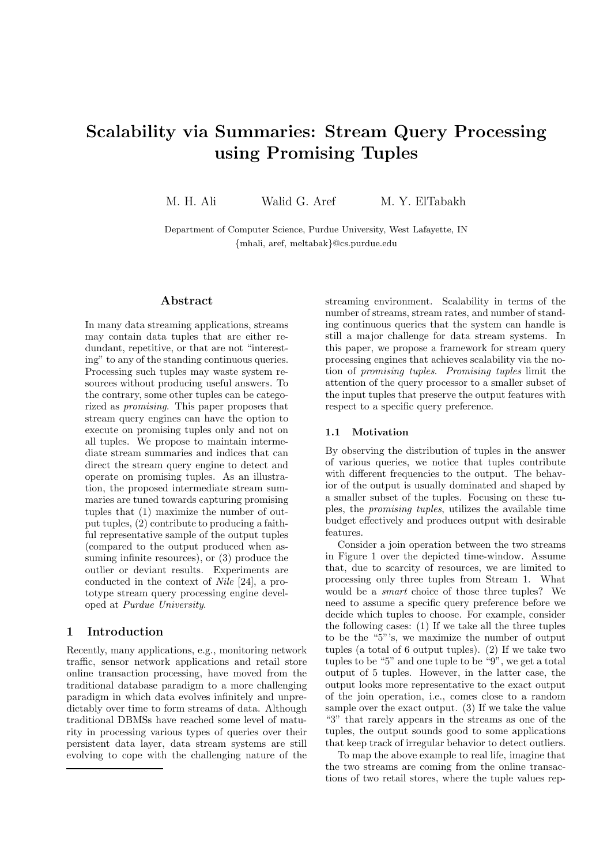# Scalability via Summaries: Stream Query Processing using Promising Tuples

M. H. Ali Walid G. Aref M. Y. ElTabakh

Department of Computer Science, Purdue University, West Lafayette, IN {mhali, aref, meltabak}@cs.purdue.edu

## Abstract

In many data streaming applications, streams may contain data tuples that are either redundant, repetitive, or that are not "interesting" to any of the standing continuous queries. Processing such tuples may waste system resources without producing useful answers. To the contrary, some other tuples can be categorized as promising. This paper proposes that stream query engines can have the option to execute on promising tuples only and not on all tuples. We propose to maintain intermediate stream summaries and indices that can direct the stream query engine to detect and operate on promising tuples. As an illustration, the proposed intermediate stream summaries are tuned towards capturing promising tuples that (1) maximize the number of output tuples, (2) contribute to producing a faithful representative sample of the output tuples (compared to the output produced when assuming infinite resources), or (3) produce the outlier or deviant results. Experiments are conducted in the context of Nile [24], a prototype stream query processing engine developed at Purdue University.

## 1 Introduction

Recently, many applications, e.g., monitoring network traffic, sensor network applications and retail store online transaction processing, have moved from the traditional database paradigm to a more challenging paradigm in which data evolves infinitely and unpredictably over time to form streams of data. Although traditional DBMSs have reached some level of maturity in processing various types of queries over their persistent data layer, data stream systems are still evolving to cope with the challenging nature of the streaming environment. Scalability in terms of the number of streams, stream rates, and number of standing continuous queries that the system can handle is still a major challenge for data stream systems. In this paper, we propose a framework for stream query processing engines that achieves scalability via the notion of promising tuples. Promising tuples limit the attention of the query processor to a smaller subset of the input tuples that preserve the output features with respect to a specific query preference.

## 1.1 Motivation

By observing the distribution of tuples in the answer of various queries, we notice that tuples contribute with different frequencies to the output. The behavior of the output is usually dominated and shaped by a smaller subset of the tuples. Focusing on these tuples, the promising tuples, utilizes the available time budget effectively and produces output with desirable features.

Consider a join operation between the two streams in Figure 1 over the depicted time-window. Assume that, due to scarcity of resources, we are limited to processing only three tuples from Stream 1. What would be a smart choice of those three tuples? We need to assume a specific query preference before we decide which tuples to choose. For example, consider the following cases: (1) If we take all the three tuples to be the "5"'s, we maximize the number of output tuples (a total of 6 output tuples). (2) If we take two tuples to be "5" and one tuple to be "9", we get a total output of 5 tuples. However, in the latter case, the output looks more representative to the exact output of the join operation, i.e., comes close to a random sample over the exact output. (3) If we take the value "3" that rarely appears in the streams as one of the tuples, the output sounds good to some applications that keep track of irregular behavior to detect outliers.

To map the above example to real life, imagine that the two streams are coming from the online transactions of two retail stores, where the tuple values rep-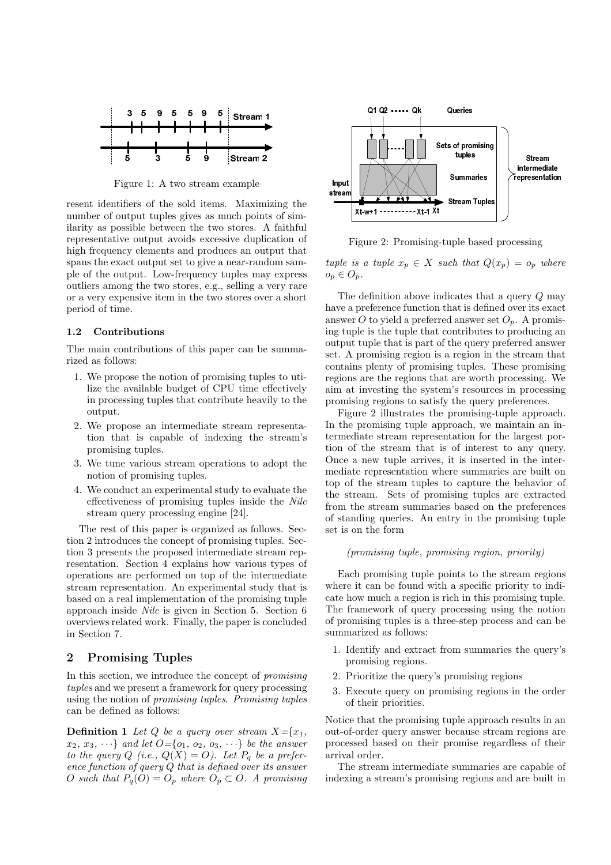

Figure 1: A two stream example

resent identifiers of the sold items. Maximizing the number of output tuples gives as much points of similarity as possible between the two stores. A faithful representative output avoids excessive duplication of high frequency elements and produces an output that spans the exact output set to give a near-random sample of the output. Low-frequency tuples may express outliers among the two stores, e.g., selling a very rare or a very expensive item in the two stores over a short period of time.

## 1.2 Contributions

The main contributions of this paper can be summarized as follows:

- 1. We propose the notion of promising tuples to utilize the available budget of CPU time effectively in processing tuples that contribute heavily to the output.
- 2. We propose an intermediate stream representation that is capable of indexing the stream's promising tuples.
- 3. We tune various stream operations to adopt the notion of promising tuples.
- 4. We conduct an experimental study to evaluate the effectiveness of promising tuples inside the Nile stream query processing engine [24].

The rest of this paper is organized as follows. Section 2 introduces the concept of promising tuples. Section 3 presents the proposed intermediate stream representation. Section 4 explains how various types of operations are performed on top of the intermediate stream representation. An experimental study that is based on a real implementation of the promising tuple approach inside Nile is given in Section 5. Section 6 overviews related work. Finally, the paper is concluded in Section 7.

## 2 Promising Tuples

In this section, we introduce the concept of promising tuples and we present a framework for query processing using the notion of promising tuples. Promising tuples can be defined as follows:

**Definition 1** Let Q be a query over stream  $X = \{x_1,$  $x_2, x_3, \cdots$ } and let  $O = \{o_1, o_2, o_3, \cdots\}$  be the answer to the query Q (i.e.,  $Q(X) = O$ ). Let  $P_q$  be a preference function of query Q that is defined over its answer O such that  $P_q(O) = O_p$  where  $O_p \subset O$ . A promising



Figure 2: Promising-tuple based processing

tuple is a tuple  $x_p \in X$  such that  $Q(x_p) = o_p$  where  $o_p \in O_p$ .

The definition above indicates that a query Q may have a preference function that is defined over its exact answer O to yield a preferred answer set  $O_n$ . A promising tuple is the tuple that contributes to producing an output tuple that is part of the query preferred answer set. A promising region is a region in the stream that contains plenty of promising tuples. These promising regions are the regions that are worth processing. We aim at investing the system's resources in processing promising regions to satisfy the query preferences.

Figure 2 illustrates the promising-tuple approach. In the promising tuple approach, we maintain an intermediate stream representation for the largest portion of the stream that is of interest to any query. Once a new tuple arrives, it is inserted in the intermediate representation where summaries are built on top of the stream tuples to capture the behavior of the stream. Sets of promising tuples are extracted from the stream summaries based on the preferences of standing queries. An entry in the promising tuple set is on the form

#### (promising tuple, promising region, priority)

Each promising tuple points to the stream regions where it can be found with a specific priority to indicate how much a region is rich in this promising tuple. The framework of query processing using the notion of promising tuples is a three-step process and can be summarized as follows:

- 1. Identify and extract from summaries the query's promising regions.
- 2. Prioritize the query's promising regions
- 3. Execute query on promising regions in the order of their priorities.

Notice that the promising tuple approach results in an out-of-order query answer because stream regions are processed based on their promise regardless of their arrival order.

The stream intermediate summaries are capable of indexing a stream's promising regions and are built in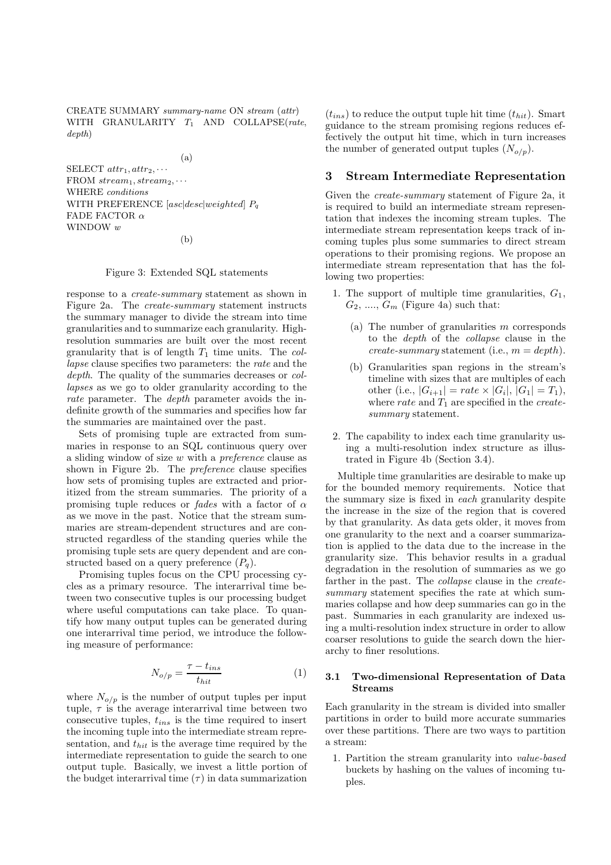CREATE SUMMARY summary-name ON stream (attr) WITH GRANULARITY  $T_1$  AND COLLAPSE(rate, depth)

(a)

SELECT  $attr_1, attr_2, \cdots$ FROM  $stream_1, stream_2, \cdots$ WHERE conditions WITH PREFERENCE  $[asc|desc|weighted]$   $P_q$ FADE FACTOR  $\alpha$ WINDOW w (b)

#### Figure 3: Extended SQL statements

response to a create-summary statement as shown in Figure 2a. The create-summary statement instructs the summary manager to divide the stream into time granularities and to summarize each granularity. Highresolution summaries are built over the most recent granularity that is of length  $T_1$  time units. The collapse clause specifies two parameters: the rate and the depth. The quality of the summaries decreases or *col*lapses as we go to older granularity according to the rate parameter. The *depth* parameter avoids the indefinite growth of the summaries and specifies how far the summaries are maintained over the past.

Sets of promising tuple are extracted from summaries in response to an SQL continuous query over a sliding window of size  $w$  with a *preference* clause as shown in Figure 2b. The preference clause specifies how sets of promising tuples are extracted and prioritized from the stream summaries. The priority of a promising tuple reduces or *fades* with a factor of  $\alpha$ as we move in the past. Notice that the stream summaries are stream-dependent structures and are constructed regardless of the standing queries while the promising tuple sets are query dependent and are constructed based on a query preference  $(P_q)$ .

Promising tuples focus on the CPU processing cycles as a primary resource. The interarrival time between two consecutive tuples is our processing budget where useful computations can take place. To quantify how many output tuples can be generated during one interarrival time period, we introduce the following measure of performance:

$$
N_{o/p} = \frac{\tau - t_{ins}}{t_{hit}}\tag{1}
$$

where  $N_{o/p}$  is the number of output tuples per input tuple,  $\tau$  is the average interarrival time between two consecutive tuples,  $t_{ins}$  is the time required to insert the incoming tuple into the intermediate stream representation, and  $t_{hit}$  is the average time required by the intermediate representation to guide the search to one output tuple. Basically, we invest a little portion of the budget interarrival time  $(\tau)$  in data summarization  $(t_{ins})$  to reduce the output tuple hit time  $(t_{hit})$ . Smart guidance to the stream promising regions reduces effectively the output hit time, which in turn increases the number of generated output tuples  $(N_{\alpha}/p)$ .

#### 3 Stream Intermediate Representation

Given the create-summary statement of Figure 2a, it is required to build an intermediate stream representation that indexes the incoming stream tuples. The intermediate stream representation keeps track of incoming tuples plus some summaries to direct stream operations to their promising regions. We propose an intermediate stream representation that has the following two properties:

- 1. The support of multiple time granularities,  $G_1$ ,  $G_2, \ldots, G_m$  (Figure 4a) such that:
	- (a) The number of granularities  $m$  corresponds to the depth of the collapse clause in the create-summary statement (i.e.,  $m = depth$ ).
	- (b) Granularities span regions in the stream's timeline with sizes that are multiples of each other (i.e.,  $|G_{i+1}| = rate \times |G_i|, |G_1| = T_1$ ), where rate and  $T_1$  are specified in the createsummary statement.
- 2. The capability to index each time granularity using a multi-resolution index structure as illustrated in Figure 4b (Section 3.4).

Multiple time granularities are desirable to make up for the bounded memory requirements. Notice that the summary size is fixed in each granularity despite the increase in the size of the region that is covered by that granularity. As data gets older, it moves from one granularity to the next and a coarser summarization is applied to the data due to the increase in the granularity size. This behavior results in a gradual degradation in the resolution of summaries as we go farther in the past. The *collapse* clause in the *create*summary statement specifies the rate at which summaries collapse and how deep summaries can go in the past. Summaries in each granularity are indexed using a multi-resolution index structure in order to allow coarser resolutions to guide the search down the hierarchy to finer resolutions.

#### 3.1 Two-dimensional Representation of Data Streams

Each granularity in the stream is divided into smaller partitions in order to build more accurate summaries over these partitions. There are two ways to partition a stream:

1. Partition the stream granularity into value-based buckets by hashing on the values of incoming tuples.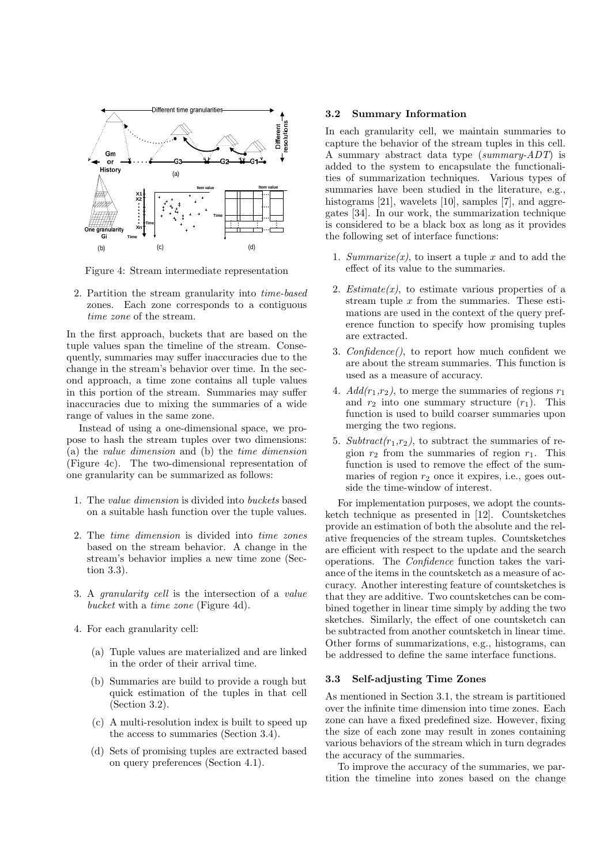

Figure 4: Stream intermediate representation

2. Partition the stream granularity into time-based zones. Each zone corresponds to a contiguous time zone of the stream.

In the first approach, buckets that are based on the tuple values span the timeline of the stream. Consequently, summaries may suffer inaccuracies due to the change in the stream's behavior over time. In the second approach, a time zone contains all tuple values in this portion of the stream. Summaries may suffer inaccuracies due to mixing the summaries of a wide range of values in the same zone.

Instead of using a one-dimensional space, we propose to hash the stream tuples over two dimensions: (a) the value dimension and (b) the time dimension (Figure 4c). The two-dimensional representation of one granularity can be summarized as follows:

- 1. The value dimension is divided into buckets based on a suitable hash function over the tuple values.
- 2. The time dimension is divided into time zones based on the stream behavior. A change in the stream's behavior implies a new time zone (Section 3.3).
- 3. A granularity cell is the intersection of a value bucket with a time zone (Figure 4d).
- 4. For each granularity cell:
	- (a) Tuple values are materialized and are linked in the order of their arrival time.
	- (b) Summaries are build to provide a rough but quick estimation of the tuples in that cell (Section 3.2).
	- (c) A multi-resolution index is built to speed up the access to summaries (Section 3.4).
	- (d) Sets of promising tuples are extracted based on query preferences (Section 4.1).

#### 3.2 Summary Information

In each granularity cell, we maintain summaries to capture the behavior of the stream tuples in this cell. A summary abstract data type (summary-ADT) is added to the system to encapsulate the functionalities of summarization techniques. Various types of summaries have been studied in the literature, e.g., histograms [21], wavelets [10], samples [7], and aggregates [34]. In our work, the summarization technique is considered to be a black box as long as it provides the following set of interface functions:

- 1. Summarize(x), to insert a tuple x and to add the effect of its value to the summaries.
- 2. Estimate $(x)$ , to estimate various properties of a stream tuple  $x$  from the summaries. These estimations are used in the context of the query preference function to specify how promising tuples are extracted.
- 3. Confidence(), to report how much confident we are about the stream summaries. This function is used as a measure of accuracy.
- 4.  $Add(r_1,r_2)$ , to merge the summaries of regions  $r_1$ and  $r_2$  into one summary structure  $(r_1)$ . This function is used to build coarser summaries upon merging the two regions.
- 5. Subtract $(r_1,r_2)$ , to subtract the summaries of region  $r_2$  from the summaries of region  $r_1$ . This function is used to remove the effect of the summaries of region  $r_2$  once it expires, i.e., goes outside the time-window of interest.

For implementation purposes, we adopt the countsketch technique as presented in [12]. Countsketches provide an estimation of both the absolute and the relative frequencies of the stream tuples. Countsketches are efficient with respect to the update and the search operations. The Confidence function takes the variance of the items in the countsketch as a measure of accuracy. Another interesting feature of countsketches is that they are additive. Two countsketches can be combined together in linear time simply by adding the two sketches. Similarly, the effect of one countsketch can be subtracted from another countsketch in linear time. Other forms of summarizations, e.g., histograms, can be addressed to define the same interface functions.

## 3.3 Self-adjusting Time Zones

As mentioned in Section 3.1, the stream is partitioned over the infinite time dimension into time zones. Each zone can have a fixed predefined size. However, fixing the size of each zone may result in zones containing various behaviors of the stream which in turn degrades the accuracy of the summaries.

To improve the accuracy of the summaries, we partition the timeline into zones based on the change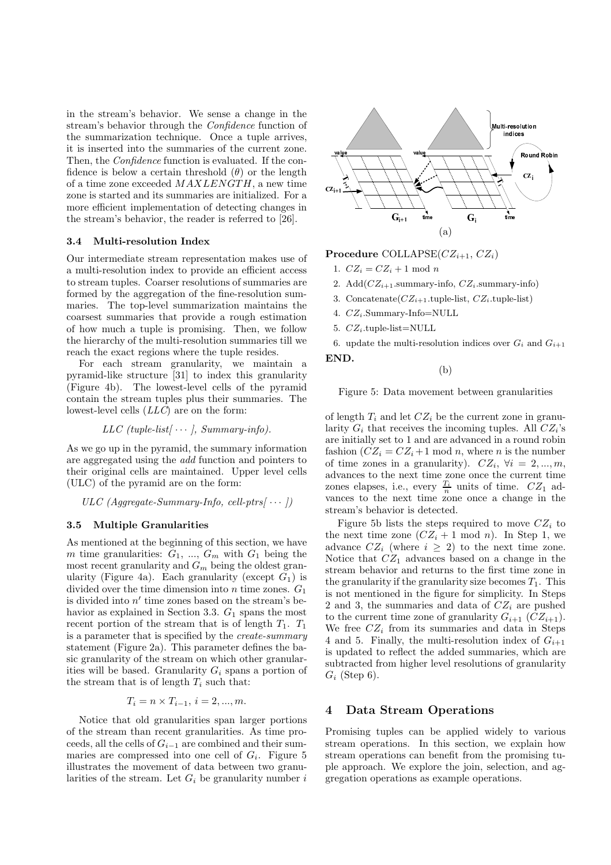in the stream's behavior. We sense a change in the stream's behavior through the Confidence function of the summarization technique. Once a tuple arrives, it is inserted into the summaries of the current zone. Then, the *Confidence* function is evaluated. If the confidence is below a certain threshold  $(\theta)$  or the length of a time zone exceeded  $MAXLENGTH$ , a new time zone is started and its summaries are initialized. For a more efficient implementation of detecting changes in the stream's behavior, the reader is referred to [26].

## 3.4 Multi-resolution Index

Our intermediate stream representation makes use of a multi-resolution index to provide an efficient access to stream tuples. Coarser resolutions of summaries are formed by the aggregation of the fine-resolution summaries. The top-level summarization maintains the coarsest summaries that provide a rough estimation of how much a tuple is promising. Then, we follow the hierarchy of the multi-resolution summaries till we reach the exact regions where the tuple resides.

For each stream granularity, we maintain a pyramid-like structure [31] to index this granularity (Figure 4b). The lowest-level cells of the pyramid contain the stream tuples plus their summaries. The lowest-level cells (LLC) are on the form:

$$
LLC (tuple-list[ \cdots ], Summary-info).
$$

As we go up in the pyramid, the summary information are aggregated using the add function and pointers to their original cells are maintained. Upper level cells (ULC) of the pyramid are on the form:

 $ULC$  (Aggregate-Summary-Info, cell-ptrs $\cdots$ ))

## 3.5 Multiple Granularities

As mentioned at the beginning of this section, we have m time granularities:  $G_1$ , ...,  $G_m$  with  $G_1$  being the most recent granularity and  $G_m$  being the oldest granularity (Figure 4a). Each granularity (except  $G_1$ ) is divided over the time dimension into  $n$  time zones.  $G_1$ is divided into  $n'$  time zones based on the stream's behavior as explained in Section 3.3.  $G_1$  spans the most recent portion of the stream that is of length  $T_1$ .  $T_1$ is a parameter that is specified by the create-summary statement (Figure 2a). This parameter defines the basic granularity of the stream on which other granularities will be based. Granularity  $G_i$  spans a portion of the stream that is of length  $T_i$  such that:

 $T_i = n \times T_{i-1}, i = 2, ..., m$ .

Notice that old granularities span larger portions of the stream than recent granularities. As time proceeds, all the cells of  $G_{i-1}$  are combined and their summaries are compressed into one cell of  $G_i$ . Figure 5 illustrates the movement of data between two granularities of the stream. Let  $G_i$  be granularity number i



## Procedure COLLAPSE( $CZ_{i+1}$ ,  $CZ_i$ )

- 1.  $CZ_i = CZ_i + 1 \mod n$
- 2. Add $(CZ_{i+1}$ .summary-info,  $CZ_i$ .summary-info)
- 3. Concatenate $(CZ_{i+1}.\text{tuple-list}, CZ_i.\text{tuple-list})$
- 4.  $CZ_i$ . Summary-Info=NULL
- 5.  $CZ_i$ .tuple-list=NULL

END.

6. update the multi-resolution indices over  $G_i$  and  $G_{i+1}$ 

(b)

Figure 5: Data movement between granularities

of length  $T_i$  and let  $CZ_i$  be the current zone in granularity  $G_i$  that receives the incoming tuples. All  $CZ_i$ 's are initially set to 1 and are advanced in a round robin fashion  $(CZ_i = CZ_i+1 \mod n$ , where *n* is the number of time zones in a granularity).  $CZ_i$ ,  $\forall i = 2, ..., m$ , advances to the next time zone once the current time zones elapses, i.e., every  $\frac{T_i}{n}$  units of time.  $CZ_1$  advances to the next time zone once a change in the stream's behavior is detected.

Figure 5b lists the steps required to move  $CZ_i$  to the next time zone  $(CZ_i + 1 \mod n)$ . In Step 1, we advance  $CZ_i$  (where  $i \geq 2$ ) to the next time zone. Notice that  $CZ_1$  advances based on a change in the stream behavior and returns to the first time zone in the granularity if the granularity size becomes  $T_1$ . This is not mentioned in the figure for simplicity. In Steps 2 and 3, the summaries and data of  $CZ_i$  are pushed to the current time zone of granularity  $G_{i+1}$   $(CZ_{i+1})$ . We free  $CZ_i$  from its summaries and data in Steps 4 and 5. Finally, the multi-resolution index of  $G_{i+1}$ is updated to reflect the added summaries, which are subtracted from higher level resolutions of granularity  $G_i$  (Step 6).

## 4 Data Stream Operations

Promising tuples can be applied widely to various stream operations. In this section, we explain how stream operations can benefit from the promising tuple approach. We explore the join, selection, and aggregation operations as example operations.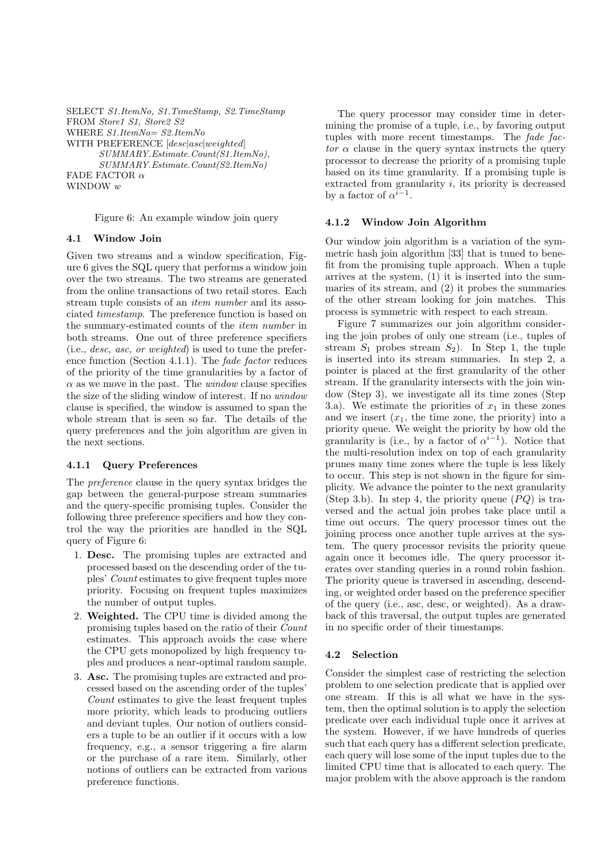```
SELECT S1.ItemNo, S1.TimeStamp, S2.TimeStamp
FROM Store1 S1, Store2 S2
WHERE S1.ItemNo= S2.ItemNo
WITH PREFERENCE [desclasclweighted]
      SUMMARY.Estimate.Count(S1.ItemNo),
      SUMMARY.Estimate.Count(S2.ItemNo)
FADE FACTOR \alphaWINDOW w
```
Figure 6: An example window join query

## 4.1 Window Join

Given two streams and a window specification, Figure 6 gives the SQL query that performs a window join over the two streams. The two streams are generated from the online transactions of two retail stores. Each stream tuple consists of an item number and its associated timestamp. The preference function is based on the summary-estimated counts of the item number in both streams. One out of three preference specifiers (i.e., desc, asc, or weighted) is used to tune the preference function (Section 4.1.1). The fade factor reduces of the priority of the time granularities by a factor of  $\alpha$  as we move in the past. The *window* clause specifies the size of the sliding window of interest. If no window clause is specified, the window is assumed to span the whole stream that is seen so far. The details of the query preferences and the join algorithm are given in the next sections.

## 4.1.1 Query Preferences

The preference clause in the query syntax bridges the gap between the general-purpose stream summaries and the query-specific promising tuples. Consider the following three preference specifiers and how they control the way the priorities are handled in the SQL query of Figure 6:

- 1. Desc. The promising tuples are extracted and processed based on the descending order of the tuples' Count estimates to give frequent tuples more priority. Focusing on frequent tuples maximizes the number of output tuples.
- 2. Weighted. The CPU time is divided among the promising tuples based on the ratio of their Count estimates. This approach avoids the case where the CPU gets monopolized by high frequency tuples and produces a near-optimal random sample.
- 3. Asc. The promising tuples are extracted and processed based on the ascending order of the tuples' Count estimates to give the least frequent tuples more priority, which leads to producing outliers and deviant tuples. Our notion of outliers considers a tuple to be an outlier if it occurs with a low frequency, e.g., a sensor triggering a fire alarm or the purchase of a rare item. Similarly, other notions of outliers can be extracted from various preference functions.

The query processor may consider time in determining the promise of a tuple, i.e., by favoring output tuples with more recent timestamps. The fade factor  $\alpha$  clause in the query syntax instructs the query processor to decrease the priority of a promising tuple based on its time granularity. If a promising tuple is extracted from granularity  $i$ , its priority is decreased by a factor of  $\alpha^{i-1}$ .

## 4.1.2 Window Join Algorithm

Our window join algorithm is a variation of the symmetric hash join algorithm [33] that is tuned to benefit from the promising tuple approach. When a tuple arrives at the system, (1) it is inserted into the summaries of its stream, and (2) it probes the summaries of the other stream looking for join matches. This process is symmetric with respect to each stream.

Figure 7 summarizes our join algorithm considering the join probes of only one stream (i.e., tuples of stream  $S_1$  probes stream  $S_2$ ). In Step 1, the tuple is inserted into its stream summaries. In step 2, a pointer is placed at the first granularity of the other stream. If the granularity intersects with the join window (Step 3), we investigate all its time zones (Step 3.a). We estimate the priorities of  $x_1$  in these zones and we insert  $(x_1,$  the time zone, the priority) into a priority queue. We weight the priority by how old the granularity is (i.e., by a factor of  $\alpha^{i-1}$ ). Notice that the multi-resolution index on top of each granularity prunes many time zones where the tuple is less likely to occur. This step is not shown in the figure for simplicity. We advance the pointer to the next granularity (Step 3.b). In step 4, the priority queue  $(PQ)$  is traversed and the actual join probes take place until a time out occurs. The query processor times out the joining process once another tuple arrives at the system. The query processor revisits the priority queue again once it becomes idle. The query processor iterates over standing queries in a round robin fashion. The priority queue is traversed in ascending, descending, or weighted order based on the preference specifier of the query (i.e., asc, desc, or weighted). As a drawback of this traversal, the output tuples are generated in no specific order of their timestamps.

## 4.2 Selection

Consider the simplest case of restricting the selection problem to one selection predicate that is applied over one stream. If this is all what we have in the system, then the optimal solution is to apply the selection predicate over each individual tuple once it arrives at the system. However, if we have hundreds of queries such that each query has a different selection predicate, each query will lose some of the input tuples due to the limited CPU time that is allocated to each query. The major problem with the above approach is the random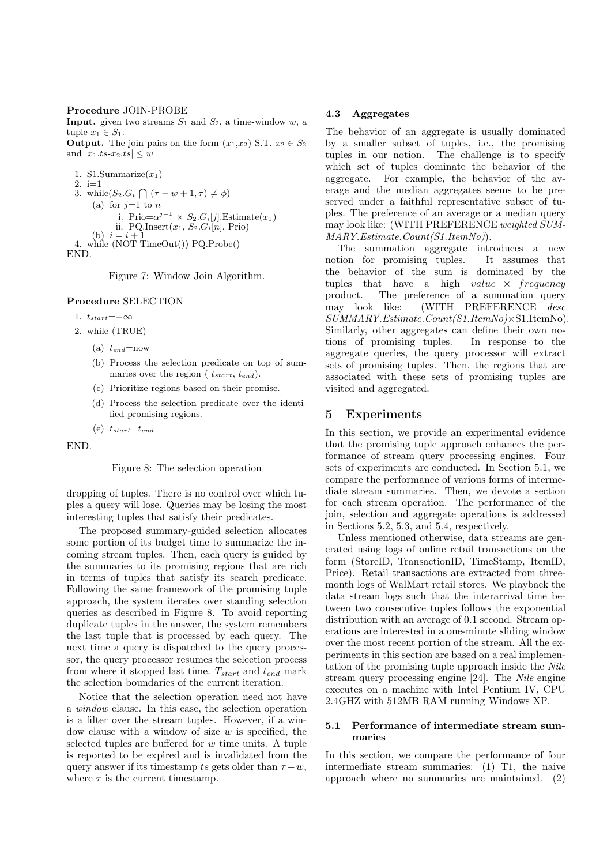#### Procedure JOIN-PROBE

**Input.** given two streams  $S_1$  and  $S_2$ , a time-window w, a tuple  $x_1 \in S_1$ .

**Output.** The join pairs on the form  $(x_1,x_2)$  S.T.  $x_2 \in S_2$ and  $|x_1.ts$ - $x_2.ts$ |  $\leq w$ 

1. S1.Summarize $(x_1)$ 2. i=1 3. while  $(S_2.G_i \cap (\tau - w + 1, \tau) \neq \phi)$ (a) for  $j=1$  to n i. Prio= $\alpha^{j-1} \times S_2.G_i[j]$ . Estimate $(x_1)$ ii. PQ.Insert $(x_1, S_2.G_i[n], \text{Prio})$ (b)  $i = i + 1$ 4. while (NOT TimeOut()) PQ.Probe() END.

Figure 7: Window Join Algorithm.

#### Procedure SELECTION

- 1.  $t_{start} = -\infty$
- 2. while (TRUE)
	- (a)  $t_{end}$ =now
	- (b) Process the selection predicate on top of summaries over the region ( $t_{start}$ ,  $t_{end}$ ).
	- (c) Prioritize regions based on their promise.
	- (d) Process the selection predicate over the identified promising regions.

(e)  $t_{start} = t_{end}$ 

END.

#### Figure 8: The selection operation

dropping of tuples. There is no control over which tuples a query will lose. Queries may be losing the most interesting tuples that satisfy their predicates.

The proposed summary-guided selection allocates some portion of its budget time to summarize the incoming stream tuples. Then, each query is guided by the summaries to its promising regions that are rich in terms of tuples that satisfy its search predicate. Following the same framework of the promising tuple approach, the system iterates over standing selection queries as described in Figure 8. To avoid reporting duplicate tuples in the answer, the system remembers the last tuple that is processed by each query. The next time a query is dispatched to the query processor, the query processor resumes the selection process from where it stopped last time.  $T_{start}$  and  $t_{end}$  mark the selection boundaries of the current iteration.

Notice that the selection operation need not have a window clause. In this case, the selection operation is a filter over the stream tuples. However, if a window clause with a window of size  $w$  is specified, the selected tuples are buffered for  $w$  time units. A tuple is reported to be expired and is invalidated from the query answer if its timestamp ts gets older than  $\tau - w$ , where  $\tau$  is the current timestamp.

#### 4.3 Aggregates

The behavior of an aggregate is usually dominated by a smaller subset of tuples, i.e., the promising tuples in our notion. The challenge is to specify which set of tuples dominate the behavior of the aggregate. For example, the behavior of the average and the median aggregates seems to be preserved under a faithful representative subset of tuples. The preference of an average or a median query may look like: (WITH PREFERENCE weighted SUM-MARY.Estimate.Count(S1.ItemNo)).

The summation aggregate introduces a new notion for promising tuples. It assumes that the behavior of the sum is dominated by the tuples that have a high value  $\times$  frequency product. The preference of a summation query may look like: (WITH PREFERENCE desc SUMMARY.Estimate.Count(S1.ItemNo)×S1.ItemNo). Similarly, other aggregates can define their own notions of promising tuples. In response to the aggregate queries, the query processor will extract sets of promising tuples. Then, the regions that are associated with these sets of promising tuples are visited and aggregated.

## 5 Experiments

In this section, we provide an experimental evidence that the promising tuple approach enhances the performance of stream query processing engines. Four sets of experiments are conducted. In Section 5.1, we compare the performance of various forms of intermediate stream summaries. Then, we devote a section for each stream operation. The performance of the join, selection and aggregate operations is addressed in Sections 5.2, 5.3, and 5.4, respectively.

Unless mentioned otherwise, data streams are generated using logs of online retail transactions on the form (StoreID, TransactionID, TimeStamp, ItemID, Price). Retail transactions are extracted from threemonth logs of WalMart retail stores. We playback the data stream logs such that the interarrival time between two consecutive tuples follows the exponential distribution with an average of 0.1 second. Stream operations are interested in a one-minute sliding window over the most recent portion of the stream. All the experiments in this section are based on a real implementation of the promising tuple approach inside the Nile stream query processing engine [24]. The Nile engine executes on a machine with Intel Pentium IV, CPU 2.4GHZ with 512MB RAM running Windows XP.

## 5.1 Performance of intermediate stream summaries

In this section, we compare the performance of four intermediate stream summaries: (1) T1, the naive approach where no summaries are maintained. (2)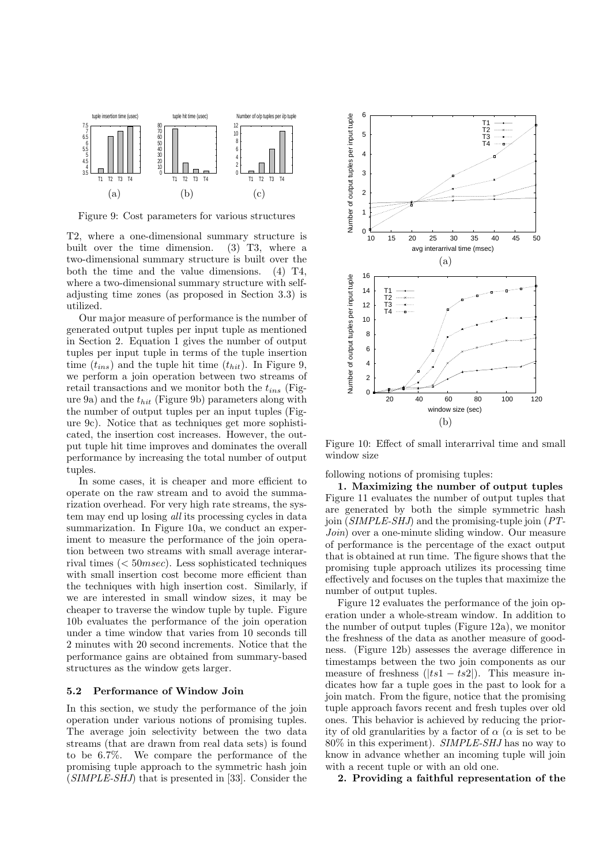

Figure 9: Cost parameters for various structures

T2, where a one-dimensional summary structure is built over the time dimension. (3) T3, where a two-dimensional summary structure is built over the both the time and the value dimensions. (4) T4, where a two-dimensional summary structure with selfadjusting time zones (as proposed in Section 3.3) is utilized.

Our major measure of performance is the number of generated output tuples per input tuple as mentioned in Section 2. Equation 1 gives the number of output tuples per input tuple in terms of the tuple insertion time  $(t_{ins})$  and the tuple hit time  $(t_{hit})$ . In Figure 9, we perform a join operation between two streams of retail transactions and we monitor both the  $t_{ins}$  (Figure 9a) and the  $t_{hit}$  (Figure 9b) parameters along with the number of output tuples per an input tuples (Figure 9c). Notice that as techniques get more sophisticated, the insertion cost increases. However, the output tuple hit time improves and dominates the overall performance by increasing the total number of output tuples.

In some cases, it is cheaper and more efficient to operate on the raw stream and to avoid the summarization overhead. For very high rate streams, the system may end up losing all its processing cycles in data summarization. In Figure 10a, we conduct an experiment to measure the performance of the join operation between two streams with small average interarrival times ( $< 50$ msec). Less sophisticated techniques with small insertion cost become more efficient than the techniques with high insertion cost. Similarly, if we are interested in small window sizes, it may be cheaper to traverse the window tuple by tuple. Figure 10b evaluates the performance of the join operation under a time window that varies from 10 seconds till 2 minutes with 20 second increments. Notice that the performance gains are obtained from summary-based structures as the window gets larger.

#### 5.2 Performance of Window Join

In this section, we study the performance of the join operation under various notions of promising tuples. The average join selectivity between the two data streams (that are drawn from real data sets) is found to be 6.7%. We compare the performance of the promising tuple approach to the symmetric hash join (SIMPLE-SHJ) that is presented in [33]. Consider the



Figure 10: Effect of small interarrival time and small window size

following notions of promising tuples:

1. Maximizing the number of output tuples Figure 11 evaluates the number of output tuples that are generated by both the simple symmetric hash join (SIMPLE-SHJ) and the promising-tuple join (PT-Join) over a one-minute sliding window. Our measure of performance is the percentage of the exact output that is obtained at run time. The figure shows that the promising tuple approach utilizes its processing time effectively and focuses on the tuples that maximize the number of output tuples.

Figure 12 evaluates the performance of the join operation under a whole-stream window. In addition to the number of output tuples (Figure 12a), we monitor the freshness of the data as another measure of goodness. (Figure 12b) assesses the average difference in timestamps between the two join components as our measure of freshness  $(|ts1 - ts2|)$ . This measure indicates how far a tuple goes in the past to look for a join match. From the figure, notice that the promising tuple approach favors recent and fresh tuples over old ones. This behavior is achieved by reducing the priority of old granularities by a factor of  $\alpha$  ( $\alpha$  is set to be 80% in this experiment). SIMPLE-SHJ has no way to know in advance whether an incoming tuple will join with a recent tuple or with an old one.

2. Providing a faithful representation of the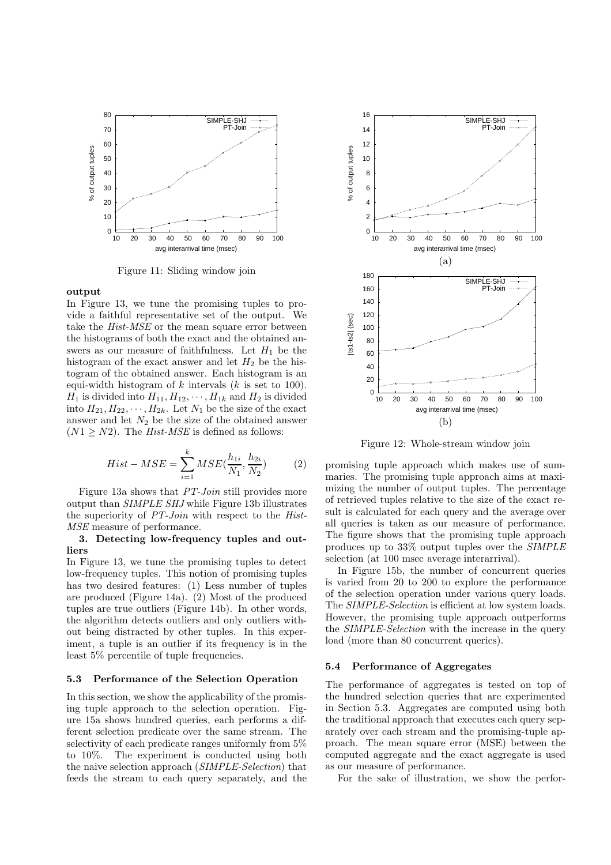

Figure 11: Sliding window join

#### output

In Figure 13, we tune the promising tuples to provide a faithful representative set of the output. We take the *Hist-MSE* or the mean square error between the histograms of both the exact and the obtained answers as our measure of faithfulness. Let  $H_1$  be the histogram of the exact answer and let  $H_2$  be the histogram of the obtained answer. Each histogram is an equi-width histogram of  $k$  intervals  $(k$  is set to 100).  $H_1$  is divided into  $H_{11}, H_{12}, \cdots, H_{1k}$  and  $H_2$  is divided into  $H_{21}, H_{22}, \cdots, H_{2k}$ . Let  $N_1$  be the size of the exact answer and let  $N_2$  be the size of the obtained answer  $(N1 \geq N2)$ . The *Hist-MSE* is defined as follows:

$$
Hist - MSE = \sum_{i=1}^{k} MSE(\frac{h_{1i}}{N_1}, \frac{h_{2i}}{N_2})
$$
 (2)

Figure 13a shows that PT-Join still provides more output than SIMPLE SHJ while Figure 13b illustrates the superiority of PT-Join with respect to the Hist-MSE measure of performance.

#### 3. Detecting low-frequency tuples and outliers

In Figure 13, we tune the promising tuples to detect low-frequency tuples. This notion of promising tuples has two desired features: (1) Less number of tuples are produced (Figure 14a). (2) Most of the produced tuples are true outliers (Figure 14b). In other words, the algorithm detects outliers and only outliers without being distracted by other tuples. In this experiment, a tuple is an outlier if its frequency is in the least 5% percentile of tuple frequencies.

#### 5.3 Performance of the Selection Operation

In this section, we show the applicability of the promising tuple approach to the selection operation. Figure 15a shows hundred queries, each performs a different selection predicate over the same stream. The selectivity of each predicate ranges uniformly from 5% to 10%. The experiment is conducted using both the naive selection approach (SIMPLE-Selection) that feeds the stream to each query separately, and the



Figure 12: Whole-stream window join

promising tuple approach which makes use of summaries. The promising tuple approach aims at maximizing the number of output tuples. The percentage of retrieved tuples relative to the size of the exact result is calculated for each query and the average over all queries is taken as our measure of performance. The figure shows that the promising tuple approach produces up to 33% output tuples over the SIMPLE selection (at 100 msec average interarrival).

In Figure 15b, the number of concurrent queries is varied from 20 to 200 to explore the performance of the selection operation under various query loads. The *SIMPLE-Selection* is efficient at low system loads. However, the promising tuple approach outperforms the SIMPLE-Selection with the increase in the query load (more than 80 concurrent queries).

#### 5.4 Performance of Aggregates

The performance of aggregates is tested on top of the hundred selection queries that are experimented in Section 5.3. Aggregates are computed using both the traditional approach that executes each query separately over each stream and the promising-tuple approach. The mean square error (MSE) between the computed aggregate and the exact aggregate is used as our measure of performance.

For the sake of illustration, we show the perfor-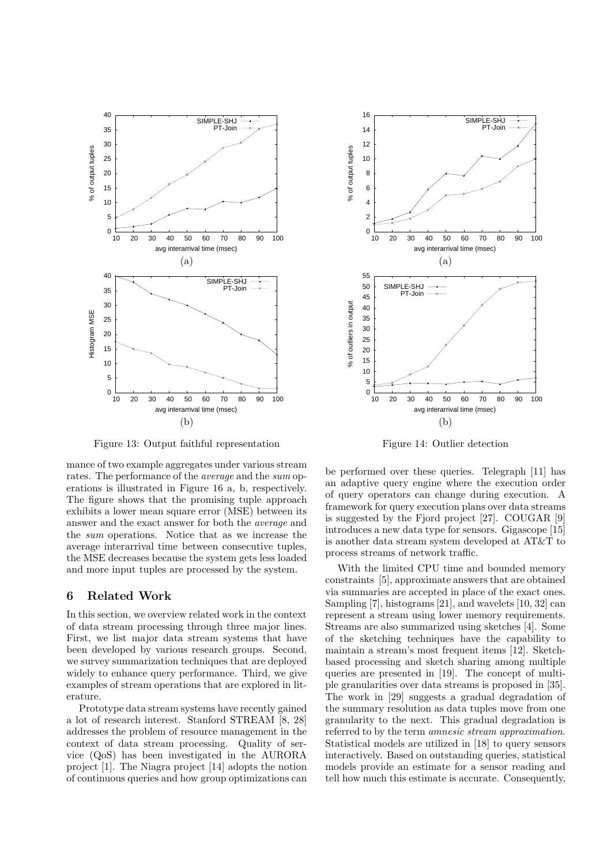

Figure 13: Output faithful representation

mance of two example aggregates under various stream rates. The performance of the average and the sum operations is illustrated in Figure 16 a, b, respectively. The figure shows that the promising tuple approach exhibits a lower mean square error (MSE) between its answer and the exact answer for both the average and the sum operations. Notice that as we increase the average interarrival time between consecutive tuples, the MSE decreases because the system gets less loaded and more input tuples are processed by the system.

## 6 Related Work

In this section, we overview related work in the context of data stream processing through three major lines. First, we list major data stream systems that have been developed by various research groups. Second, we survey summarization techniques that are deployed widely to enhance query performance. Third, we give examples of stream operations that are explored in literature.

Prototype data stream systems have recently gained a lot of research interest. Stanford STREAM [8, 28] addresses the problem of resource management in the context of data stream processing. Quality of service (QoS) has been investigated in the AURORA project [1]. The Niagra project [14] adopts the notion of continuous queries and how group optimizations can



Figure 14: Outlier detection

be performed over these queries. Telegraph [11] has an adaptive query engine where the execution order of query operators can change during execution. A framework for query execution plans over data streams is suggested by the Fjord project [27]. COUGAR [9] introduces a new data type for sensors. Gigascope [15] is another data stream system developed at AT&T to process streams of network traffic.

With the limited CPU time and bounded memory constraints [5], approximate answers that are obtained via summaries are accepted in place of the exact ones. Sampling [7], histograms [21], and wavelets [10, 32] can represent a stream using lower memory requirements. Streams are also summarized using sketches [4]. Some of the sketching techniques have the capability to maintain a stream's most frequent items [12]. Sketchbased processing and sketch sharing among multiple queries are presented in [19]. The concept of multiple granularities over data streams is proposed in [35]. The work in [29] suggests a gradual degradation of the summary resolution as data tuples move from one granularity to the next. This gradual degradation is referred to by the term *amnesic stream approximation*. Statistical models are utilized in [18] to query sensors interactively. Based on outstanding queries, statistical models provide an estimate for a sensor reading and tell how much this estimate is accurate. Consequently,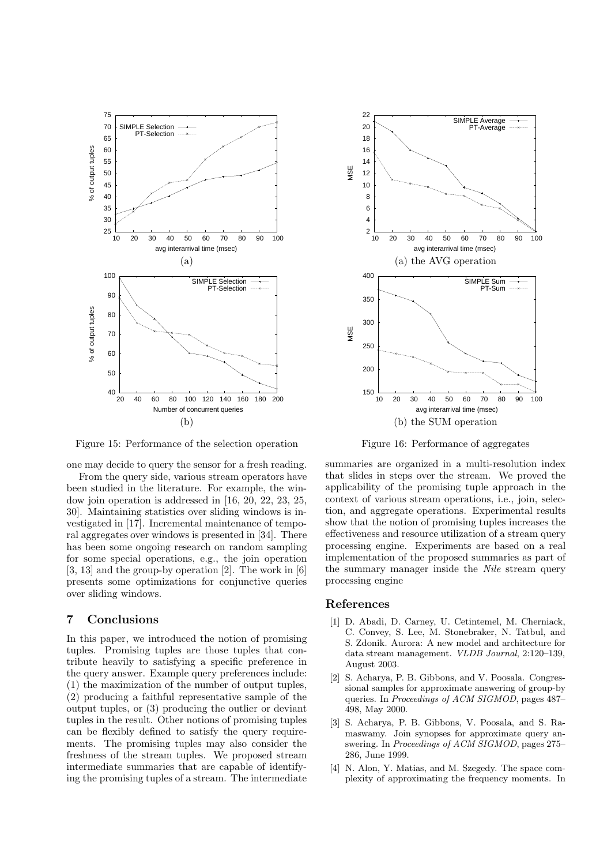

Figure 15: Performance of the selection operation

one may decide to query the sensor for a fresh reading. From the query side, various stream operators have been studied in the literature. For example, the window join operation is addressed in [16, 20, 22, 23, 25, 30]. Maintaining statistics over sliding windows is investigated in [17]. Incremental maintenance of temporal aggregates over windows is presented in [34]. There has been some ongoing research on random sampling for some special operations, e.g., the join operation [3, 13] and the group-by operation [2]. The work in [6] presents some optimizations for conjunctive queries over sliding windows.

#### 7 Conclusions

In this paper, we introduced the notion of promising tuples. Promising tuples are those tuples that contribute heavily to satisfying a specific preference in the query answer. Example query preferences include: (1) the maximization of the number of output tuples, (2) producing a faithful representative sample of the output tuples, or (3) producing the outlier or deviant tuples in the result. Other notions of promising tuples can be flexibly defined to satisfy the query requirements. The promising tuples may also consider the freshness of the stream tuples. We proposed stream intermediate summaries that are capable of identifying the promising tuples of a stream. The intermediate



Figure 16: Performance of aggregates

summaries are organized in a multi-resolution index that slides in steps over the stream. We proved the applicability of the promising tuple approach in the context of various stream operations, i.e., join, selection, and aggregate operations. Experimental results show that the notion of promising tuples increases the effectiveness and resource utilization of a stream query processing engine. Experiments are based on a real implementation of the proposed summaries as part of the summary manager inside the Nile stream query processing engine

## References

- [1] D. Abadi, D. Carney, U. Cetintemel, M. Cherniack, C. Convey, S. Lee, M. Stonebraker, N. Tatbul, and S. Zdonik. Aurora: A new model and architecture for data stream management. VLDB Journal, 2:120–139, August 2003.
- [2] S. Acharya, P. B. Gibbons, and V. Poosala. Congressional samples for approximate answering of group-by queries. In Proceedings of ACM SIGMOD, pages 487– 498, May 2000.
- [3] S. Acharya, P. B. Gibbons, V. Poosala, and S. Ramaswamy. Join synopses for approximate query answering. In Proceedings of ACM SIGMOD, pages 275– 286, June 1999.
- [4] N. Alon, Y. Matias, and M. Szegedy. The space complexity of approximating the frequency moments. In